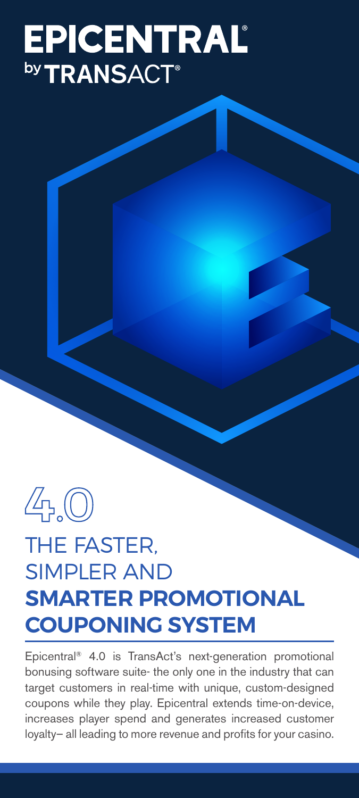# **EPICENTRAL**

 $4,0$ 

## THE FASTER, SIMPLER AND **SMARTER PROMOTIONAL COUPONING SYSTEM**

Epicentral® 4.0 is TransAct's next-generation promotional bonusing software suite- the only one in the industry that can target customers in real-time with unique, custom-designed coupons while they play. Epicentral extends time-on-device, increases player spend and generates increased customer loyalty– all leading to more revenue and profits for your casino.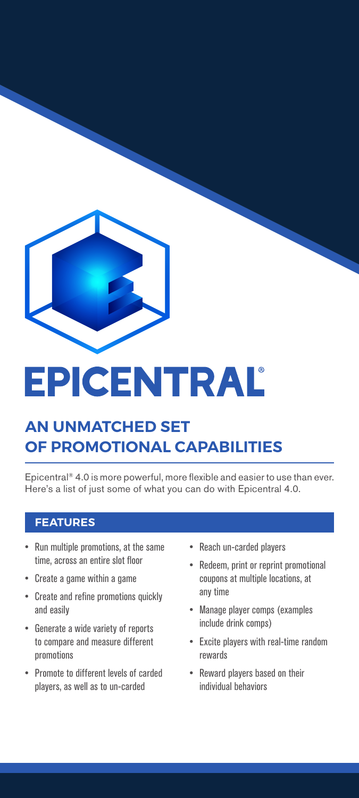

# EPICENTRAL

### **AN UNMATCHED SET OF PROMOTIONAL CAPABILITIES**

Epicentral® 4.0 is more powerful, more flexible and easier to use than ever. Here's a list of just some of what you can do with Epicentral 4.0.

- Run multiple promotions, at the same time, across an entire slot floor
- Create a game within a game
- Create and refine promotions quickly and easily
- Generate a wide variety of reports to compare and measure different promotions
- Promote to different levels of carded players, as well as to un-carded
- Reach un-carded players
- Redeem, print or reprint promotional coupons at multiple locations, at any time
- Manage player comps (examples include drink comps)
- Excite players with real-time random rewards
- Reward players based on their individual behaviors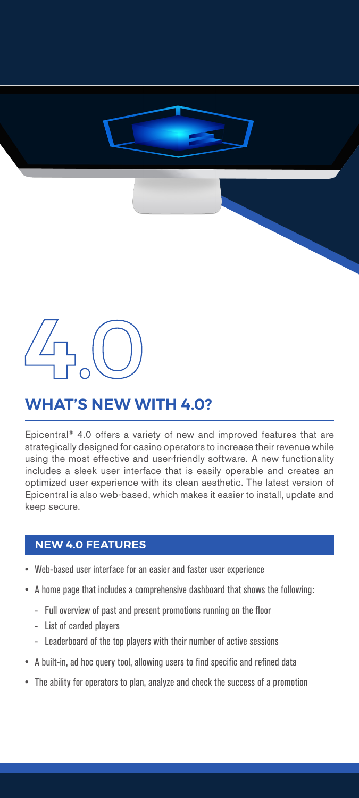### **WHAT'S NEW WITH 4.0?**

Epicentral® 4.0 offers a variety of new and improved features that are strategically designed for casino operators to increase their revenue while using the most effective and user-friendly software. A new functionality includes a sleek user interface that is easily operable and creates an optimized user experience with its clean aesthetic. The latest version of Epicentral is also web-based, which makes it easier to install, update and keep secure.

### **NEW 4.0 FEATURES**

- Web-based user interface for an easier and faster user experience
- A home page that includes a comprehensive dashboard that shows the following:
	- Full overview of past and present promotions running on the floor
	- List of carded players
	- Leaderboard of the top players with their number of active sessions
- A built-in, ad hoc query tool, allowing users to find specific and refined data
- The ability for operators to plan, analyze and check the success of a promotion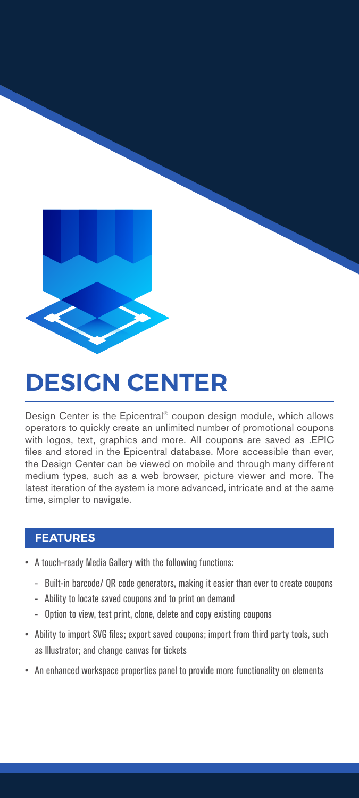

# **DESIGN CENTER**

Design Center is the Epicentral® coupon design module, which allows operators to quickly create an unlimited number of promotional coupons with logos, text, graphics and more. All coupons are saved as .EPIC files and stored in the Epicentral database. More accessible than ever, the Design Center can be viewed on mobile and through many different medium types, such as a web browser, picture viewer and more. The latest iteration of the system is more advanced, intricate and at the same time, simpler to navigate.

- A touch-ready Media Gallery with the following functions:
	- Built-in barcode/ QR code generators, making it easier than ever to create coupons
	- Ability to locate saved coupons and to print on demand
	- Option to view, test print, clone, delete and copy existing coupons
- Ability to import SVG files; export saved coupons; import from third party tools, such as Illustrator; and change canvas for tickets
- An enhanced workspace properties panel to provide more functionality on elements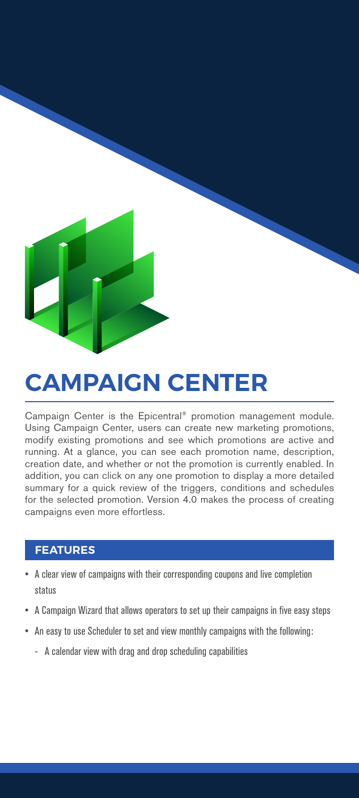# **CAMPAIGN CENTER**

#### Campaign Center is the Epicentral® promotion management module. Using Campaign Center, users can create new marketing promotions, modify existing promotions and see which promotions are active and running. At a glance, you can see each promotion name, description, creation date, and whether or not the promotion is currently enabled. In addition, you can click on any one promotion to display a more detailed summary for a quick review of the triggers, conditions and schedules for the selected promotion. Version 4.0 makes the process of creating campaigns even more effortless.

- A clear view of campaigns with their corresponding coupons and live completion status
- A Campaign Wizard that allows operators to set up their campaigns in five easy steps
- An easy to use Scheduler to set and view monthly campaigns with the following:
	- A calendar view with drag and drop scheduling capabilities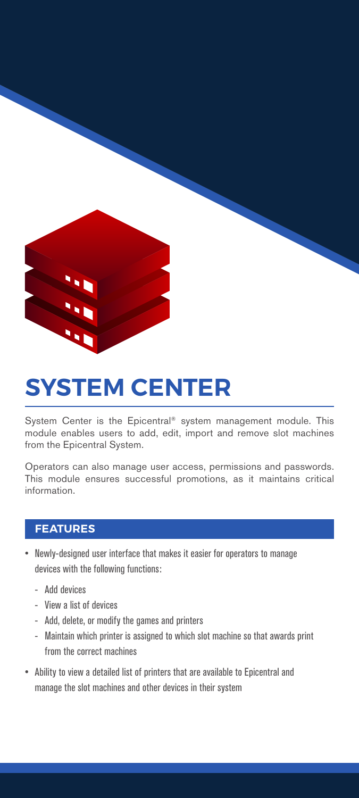

# **SYSTEM CENTER**

System Center is the Epicentral® system management module. This module enables users to add, edit, import and remove slot machines from the Epicentral System.

Operators can also manage user access, permissions and passwords. This module ensures successful promotions, as it maintains critical information.

- Newly-designed user interface that makes it easier for operators to manage devices with the following functions:
	- Add devices
	- View a list of devices
	- Add, delete, or modify the games and printers
	- Maintain which printer is assigned to which slot machine so that awards print from the correct machines
- Ability to view a detailed list of printers that are available to Epicentral and manage the slot machines and other devices in their system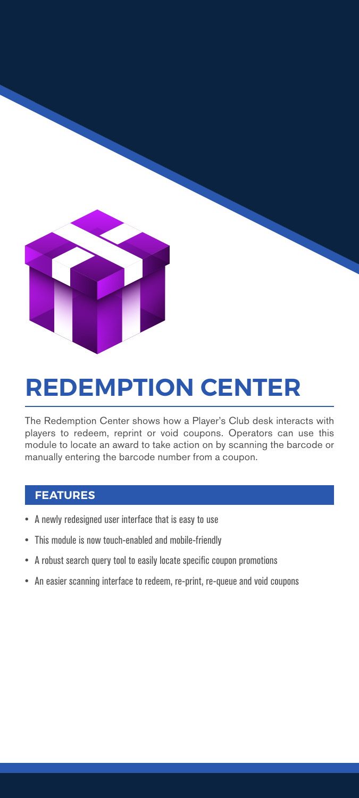

# **REDEMPTION CENTER**

The Redemption Center shows how a Player's Club desk interacts with players to redeem, reprint or void coupons. Operators can use this module to locate an award to take action on by scanning the barcode or manually entering the barcode number from a coupon.

- A newly redesigned user interface that is easy to use
- This module is now touch-enabled and mobile-friendly
- A robust search query tool to easily locate specific coupon promotions
- An easier scanning interface to redeem, re-print, re-queue and void coupons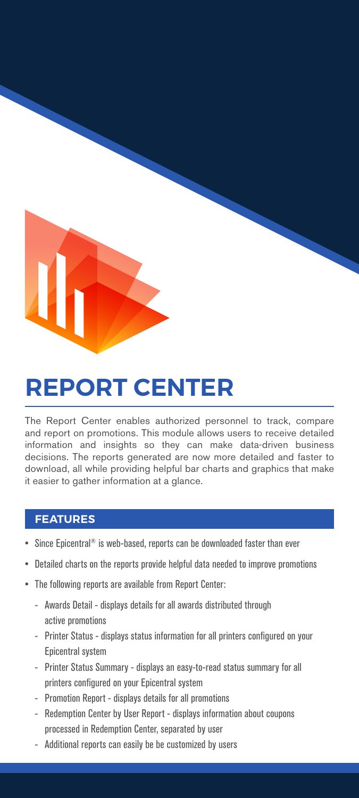# **REPORT CENTER**

The Report Center enables authorized personnel to track, compare and report on promotions. This module allows users to receive detailed information and insights so they can make data-driven business decisions. The reports generated are now more detailed and faster to download, all while providing helpful bar charts and graphics that make it easier to gather information at a glance.

- Since Epicentral<sup>®</sup> is web-based, reports can be downloaded faster than ever
- Detailed charts on the reports provide helpful data needed to improve promotions
- The following reports are available from Report Center:
	- Awards Detail displays details for all awards distributed through active promotions
	- Printer Status displays status information for all printers configured on your Epicentral system
	- Printer Status Summary displays an easy-to-read status summary for all printers configured on your Epicentral system
	- Promotion Report displays details for all promotions
	- Redemption Center by User Report displays information about coupons processed in Redemption Center, separated by user
	- Additional reports can easily be be customized by users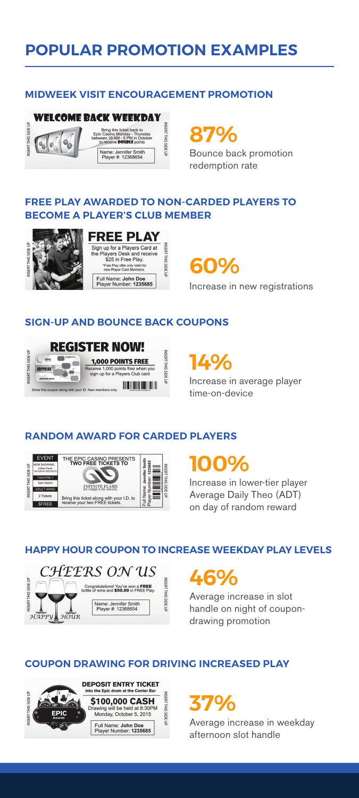### **POPULAR PROMOTION EXAMPLES**

#### **MIDWEEK VISIT ENCOURAGEMENT PROMOTION**



**87%**

Bounce back promotion redemption rate

### **FREE PLAY AWARDED TO NON-CARDED PLAYERS TO BECOME A PLAYER'S CLUB MEMBER**



#### **FREE PLAY** Sign up for a Players Card at<br>the Players Desk and receive<br>\$25 in Free Play. INSERT THIS SIDE UP e Pla<br>only Vali<br>d Memb ree Play offer of<br>aw Player Card Full Name: John Doe<br>Player Number: 1235685

**60%**

Increase in new registrations

### **SIGN-UP AND BOUNCE BACK COUPONS**



**14%**

Increase in average player time-on-device

### **RANDOM AWARD FOR CARDED PLAYERS**



### **100%**

Increase in lower-tier player Average Daily Theo (ADT) on day of random reward

#### **HAPPY HOUR COUPON TO INCREASE WEEKDAY PLAY LEVELS**



## **46%**

Average increase in slot handle on night of coupondrawing promotion

### **COUPON DRAWING FOR DRIVING INCREASED PLAY**



**37%**

Average increase in weekday afternoon slot handle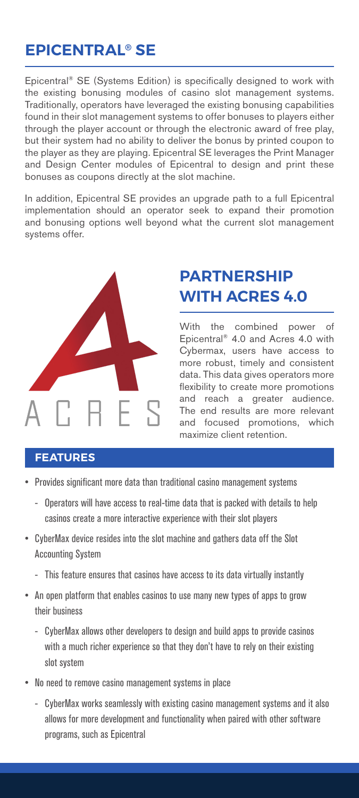### **EPICENTRAL® SE**

Epicentral® SE (Systems Edition) is specifically designed to work with the existing bonusing modules of casino slot management systems. Traditionally, operators have leveraged the existing bonusing capabilities found in their slot management systems to offer bonuses to players either through the player account or through the electronic award of free play, but their system had no ability to deliver the bonus by printed coupon to the player as they are playing. Epicentral SE leverages the Print Manager and Design Center modules of Epicentral to design and print these bonuses as coupons directly at the slot machine.

In addition, Epicentral SE provides an upgrade path to a full Epicentral implementation should an operator seek to expand their promotion and bonusing options well beyond what the current slot management systems offer.



### **PARTNERSHIP WITH ACRES 4.0**

With the combined power of Epicentral® 4.0 and Acres 4.0 with Cybermax, users have access to more robust, timely and consistent data. This data gives operators more flexibility to create more promotions and reach a greater audience. The end results are more relevant and focused promotions, which maximize client retention.

- Provides significant more data than traditional casino management systems
	- Operators will have access to real-time data that is packed with details to help casinos create a more interactive experience with their slot players
- CyberMax device resides into the slot machine and gathers data off the Slot Accounting System
	- This feature ensures that casinos have access to its data virtually instantly
- An open platform that enables casinos to use many new types of apps to grow their business
	- CyberMax allows other developers to design and build apps to provide casinos with a much richer experience so that they don't have to rely on their existing slot system
- No need to remove casino management systems in place
	- CyberMax works seamlessly with existing casino management systems and it also allows for more development and functionality when paired with other software programs, such as Epicentral